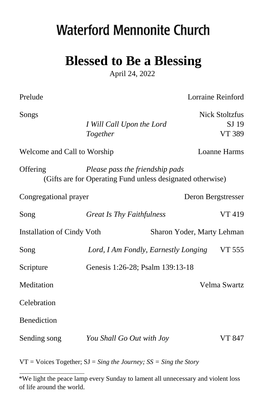# **Waterford Mennonite Church**

# **Blessed to Be a Blessing**

April 24, 2022

Prelude Lorraine Reinford

| Songs                             |                                                                                               | <b>Nick Stoltzfus</b>      |
|-----------------------------------|-----------------------------------------------------------------------------------------------|----------------------------|
|                                   | I Will Call Upon the Lord                                                                     | SJ 19                      |
|                                   | Together                                                                                      | VT 389                     |
| Welcome and Call to Worship       |                                                                                               | <b>Loanne Harms</b>        |
| Offering                          | Please pass the friendship pads<br>(Gifts are for Operating Fund unless designated otherwise) |                            |
| Congregational prayer             |                                                                                               | Deron Bergstresser         |
| Song                              | <b>Great Is Thy Faithfulness</b>                                                              | VT 419                     |
| <b>Installation of Cindy Voth</b> |                                                                                               | Sharon Yoder, Marty Lehman |
| Song                              | Lord, I Am Fondly, Earnestly Longing                                                          | VT 555                     |
| Scripture                         | Genesis 1:26-28; Psalm 139:13-18                                                              |                            |
| Meditation                        |                                                                                               | Velma Swartz               |
| Celebration                       |                                                                                               |                            |
| <b>Benediction</b>                |                                                                                               |                            |
| Sending song                      | You Shall Go Out with Joy                                                                     | <b>VT 847</b>              |
|                                   |                                                                                               |                            |

VT = Voices Together; SJ = *Sing the Journey; SS = Sing the Story* 

<sup>\*</sup>We light the peace lamp every Sunday to lament all unnecessary and violent loss of life around the world.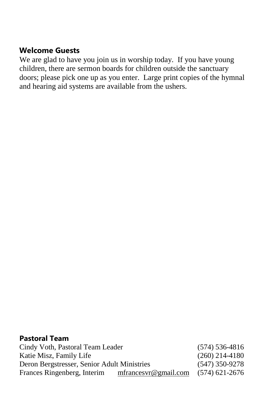#### **Welcome Guests**

We are glad to have you join us in worship today. If you have young children, there are sermon boards for children outside the sanctuary doors; please pick one up as you enter. Large print copies of the hymnal and hearing aid systems are available from the ushers.

#### **Pastoral Team**

| Cindy Voth, Pastoral Team Leader            |                       | $(574) 536 - 4816$ |
|---------------------------------------------|-----------------------|--------------------|
| Katie Misz, Family Life                     |                       | $(260)$ 214-4180   |
| Deron Bergstresser, Senior Adult Ministries | $(547)$ 350-9278      |                    |
| Frances Ringenberg, Interim                 | mfrances vr@gmail.com | $(574)$ 621-2676   |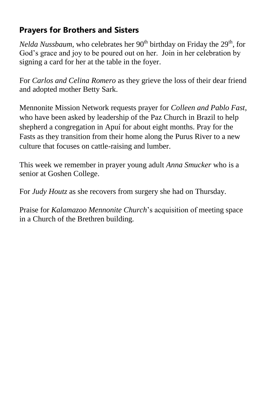# **Prayers for Brothers and Sisters**

*Nelda Nussbaum*, who celebrates her 90<sup>th</sup> birthday on Friday the 29<sup>th</sup>, for God's grace and joy to be poured out on her. Join in her celebration by signing a card for her at the table in the foyer.

For *Carlos and Celina Romero* as they grieve the loss of their dear friend and adopted mother Betty Sark.

Mennonite Mission Network requests prayer for *Colleen and Pablo Fast*, who have been asked by leadership of the Paz Church in Brazil to help shepherd a congregation in Apuí for about eight months. Pray for the Fasts as they transition from their home along the Purus River to a new culture that focuses on cattle-raising and lumber.

This week we remember in prayer young adult *Anna Smucker* who is a senior at Goshen College.

For *Judy Houtz* as she recovers from surgery she had on Thursday.

Praise for *Kalamazoo Mennonite Church*'s acquisition of meeting space in a Church of the Brethren building.